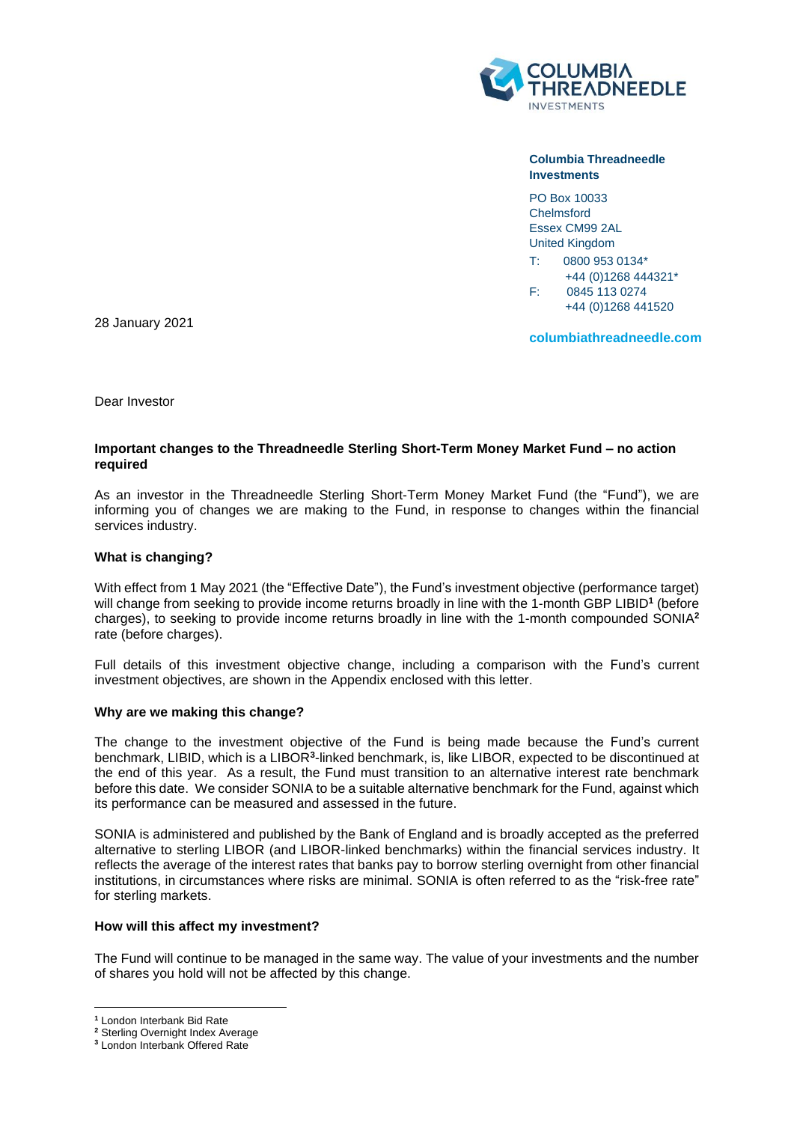

**Columbia Threadneedle Investments**

PO Box 10033 Chelmsford Essex CM99 2AL United Kingdom

T: 0800 953 0134\* +44 (0)1268 444321\* F: 0845 113 0274 +44 (0)1268 441520

28 January 2021

**columbiathreadneedle.com**

Dear Investor

# **Important changes to the Threadneedle Sterling Short-Term Money Market Fund – no action required**

As an investor in the Threadneedle Sterling Short-Term Money Market Fund (the "Fund"), we are informing you of changes we are making to the Fund, in response to changes within the financial services industry.

# **What is changing?**

With effect from 1 May 2021 (the "Effective Date"), the Fund's investment objective (performance target) will change from seeking to provide income returns broadly in line with the 1-month GBP LIBID**<sup>1</sup>** (before charges), to seeking to provide income returns broadly in line with the 1-month compounded SONIA**<sup>2</sup>** rate (before charges).

Full details of this investment objective change, including a comparison with the Fund's current investment objectives, are shown in the Appendix enclosed with this letter.

## **Why are we making this change?**

The change to the investment objective of the Fund is being made because the Fund's current benchmark, LIBID, which is a LIBOR<sup>3</sup>-linked benchmark, is, like LIBOR, expected to be discontinued at the end of this year. As a result, the Fund must transition to an alternative interest rate benchmark before this date. We consider SONIA to be a suitable alternative benchmark for the Fund, against which its performance can be measured and assessed in the future.

SONIA is administered and published by the Bank of England and is broadly accepted as the preferred alternative to sterling LIBOR (and LIBOR-linked benchmarks) within the financial services industry. It reflects the average of the interest rates that banks pay to borrow sterling overnight from other financial institutions, in circumstances where risks are minimal. SONIA is often referred to as the "risk-free rate" for sterling markets.

## **How will this affect my investment?**

The Fund will continue to be managed in the same way. The value of your investments and the number of shares you hold will not be affected by this change.

**<sup>1</sup>** London Interbank Bid Rate

**<sup>2</sup>** Sterling Overnight Index Average

**<sup>3</sup>** London Interbank Offered Rate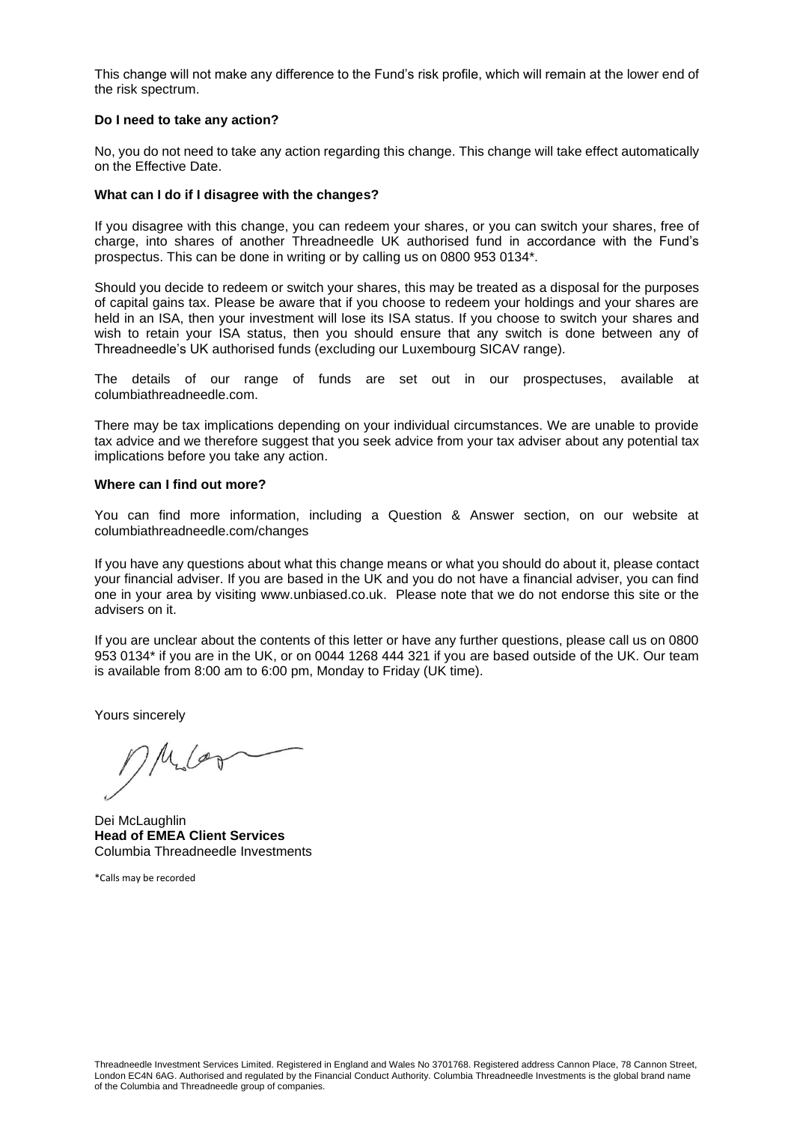This change will not make any difference to the Fund's risk profile, which will remain at the lower end of the risk spectrum.

#### **Do I need to take any action?**

No, you do not need to take any action regarding this change. This change will take effect automatically on the Effective Date.

#### **What can I do if I disagree with the changes?**

If you disagree with this change, you can redeem your shares, or you can switch your shares, free of charge, into shares of another Threadneedle UK authorised fund in accordance with the Fund's prospectus. This can be done in writing or by calling us on 0800 953 0134\*.

Should you decide to redeem or switch your shares, this may be treated as a disposal for the purposes of capital gains tax. Please be aware that if you choose to redeem your holdings and your shares are held in an ISA, then your investment will lose its ISA status. If you choose to switch your shares and wish to retain your ISA status, then you should ensure that any switch is done between any of Threadneedle's UK authorised funds (excluding our Luxembourg SICAV range).

The details of our range of funds are set out in our prospectuses, available at columbiathreadneedle.com.

There may be tax implications depending on your individual circumstances. We are unable to provide tax advice and we therefore suggest that you seek advice from your tax adviser about any potential tax implications before you take any action.

#### **Where can I find out more?**

You can find more information, including a Question & Answer section, on our website at columbiathreadneedle.com/changes

If you have any questions about what this change means or what you should do about it, please contact your financial adviser. If you are based in the UK and you do not have a financial adviser, you can find one in your area by visiting www.unbiased.co.uk. Please note that we do not endorse this site or the advisers on it.

If you are unclear about the contents of this letter or have any further questions, please call us on 0800 953 0134\* if you are in the UK, or on 0044 1268 444 321 if you are based outside of the UK. Our team is available from 8:00 am to 6:00 pm, Monday to Friday (UK time).

Yours sincerely

Miles

Dei McLaughlin **Head of EMEA Client Services** Columbia Threadneedle Investments

\*Calls may be recorded